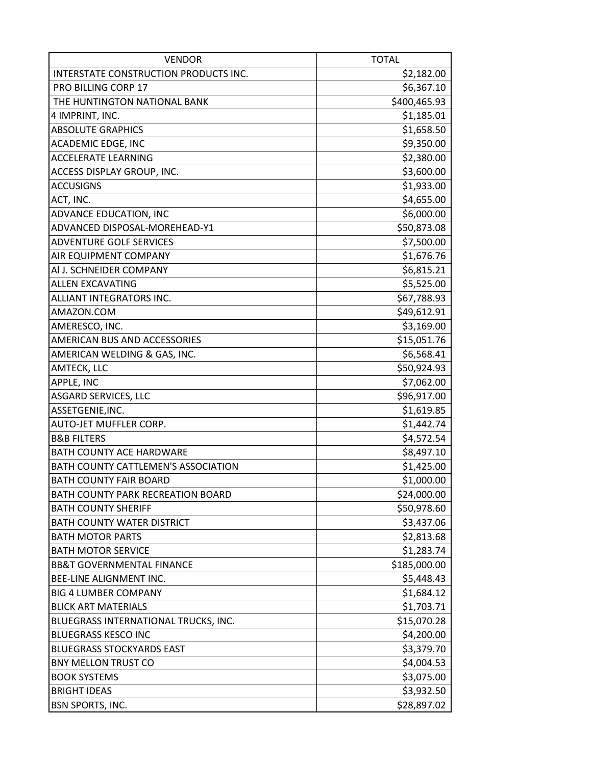| <b>VENDOR</b>                         | <b>TOTAL</b> |
|---------------------------------------|--------------|
| INTERSTATE CONSTRUCTION PRODUCTS INC. | \$2,182.00   |
| PRO BILLING CORP 17                   | \$6,367.10   |
| THE HUNTINGTON NATIONAL BANK          | \$400,465.93 |
| 4 IMPRINT, INC.                       | \$1,185.01   |
| <b>ABSOLUTE GRAPHICS</b>              | \$1,658.50   |
| <b>ACADEMIC EDGE, INC</b>             | \$9,350.00   |
| <b>ACCELERATE LEARNING</b>            | \$2,380.00   |
| ACCESS DISPLAY GROUP, INC.            | \$3,600.00   |
| <b>ACCUSIGNS</b>                      | \$1,933.00   |
| ACT, INC.                             | \$4,655.00   |
| ADVANCE EDUCATION, INC                | \$6,000.00   |
| ADVANCED DISPOSAL-MOREHEAD-Y1         | \$50,873.08  |
| <b>ADVENTURE GOLF SERVICES</b>        | \$7,500.00   |
| AIR EQUIPMENT COMPANY                 | \$1,676.76   |
| AI J. SCHNEIDER COMPANY               | \$6,815.21   |
| <b>ALLEN EXCAVATING</b>               | \$5,525.00   |
| ALLIANT INTEGRATORS INC.              | \$67,788.93  |
| AMAZON.COM                            | \$49,612.91  |
| AMERESCO, INC.                        | \$3,169.00   |
| AMERICAN BUS AND ACCESSORIES          | \$15,051.76  |
| AMERICAN WELDING & GAS, INC.          | \$6,568.41   |
| AMTECK, LLC                           | \$50,924.93  |
| APPLE, INC                            | \$7,062.00   |
| <b>ASGARD SERVICES, LLC</b>           | \$96,917.00  |
| ASSETGENIE, INC.                      | \$1,619.85   |
| AUTO-JET MUFFLER CORP.                | \$1,442.74   |
| <b>B&amp;B FILTERS</b>                | \$4,572.54   |
| <b>BATH COUNTY ACE HARDWARE</b>       | \$8,497.10   |
| BATH COUNTY CATTLEMEN'S ASSOCIATION   | \$1,425.00   |
| <b>BATH COUNTY FAIR BOARD</b>         | \$1,000.00   |
| BATH COUNTY PARK RECREATION BOARD     | \$24,000.00  |
| <b>BATH COUNTY SHERIFF</b>            | \$50,978.60  |
| <b>BATH COUNTY WATER DISTRICT</b>     | \$3,437.06   |
| <b>BATH MOTOR PARTS</b>               | \$2,813.68   |
| <b>BATH MOTOR SERVICE</b>             | \$1,283.74   |
| <b>BB&amp;T GOVERNMENTAL FINANCE</b>  | \$185,000.00 |
| BEE-LINE ALIGNMENT INC.               | \$5,448.43   |
| <b>BIG 4 LUMBER COMPANY</b>           | \$1,684.12   |
| <b>BLICK ART MATERIALS</b>            | \$1,703.71   |
| BLUEGRASS INTERNATIONAL TRUCKS, INC.  | \$15,070.28  |
| <b>BLUEGRASS KESCO INC</b>            | \$4,200.00   |
| <b>BLUEGRASS STOCKYARDS EAST</b>      | \$3,379.70   |
| <b>BNY MELLON TRUST CO</b>            | \$4,004.53   |
| <b>BOOK SYSTEMS</b>                   | \$3,075.00   |
| <b>BRIGHT IDEAS</b>                   | \$3,932.50   |
| <b>BSN SPORTS, INC.</b>               | \$28,897.02  |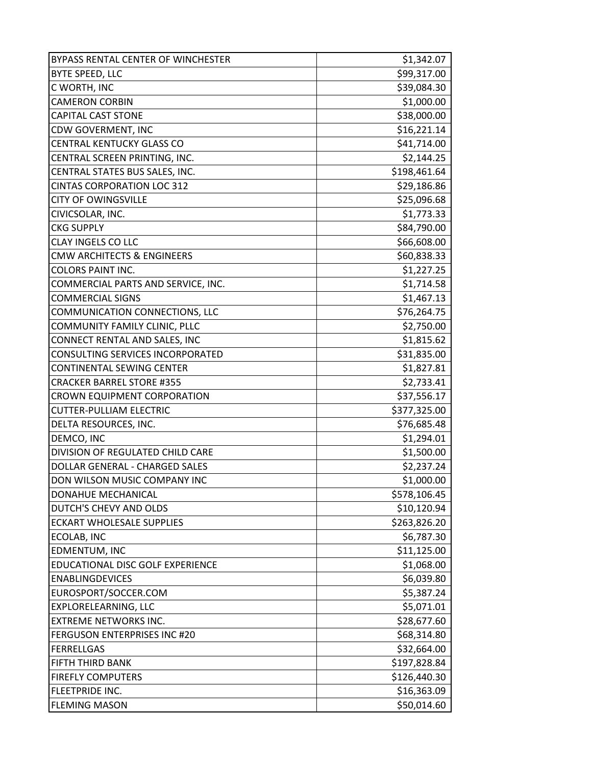| BYPASS RENTAL CENTER OF WINCHESTER    | \$1,342.07   |
|---------------------------------------|--------------|
| BYTE SPEED, LLC                       | \$99,317.00  |
| C WORTH, INC                          | \$39,084.30  |
| <b>CAMERON CORBIN</b>                 | \$1,000.00   |
| <b>CAPITAL CAST STONE</b>             | \$38,000.00  |
| CDW GOVERMENT, INC                    | \$16,221.14  |
| CENTRAL KENTUCKY GLASS CO             | \$41,714.00  |
| CENTRAL SCREEN PRINTING, INC.         | \$2,144.25   |
| CENTRAL STATES BUS SALES, INC.        | \$198,461.64 |
| <b>CINTAS CORPORATION LOC 312</b>     | \$29,186.86  |
| <b>CITY OF OWINGSVILLE</b>            | \$25,096.68  |
| CIVICSOLAR, INC.                      | \$1,773.33   |
| <b>CKG SUPPLY</b>                     | \$84,790.00  |
| CLAY INGELS CO LLC                    | \$66,608.00  |
| <b>CMW ARCHITECTS &amp; ENGINEERS</b> | \$60,838.33  |
| <b>COLORS PAINT INC.</b>              | \$1,227.25   |
| COMMERCIAL PARTS AND SERVICE, INC.    | \$1,714.58   |
| <b>COMMERCIAL SIGNS</b>               | \$1,467.13   |
| COMMUNICATION CONNECTIONS, LLC        | \$76,264.75  |
| COMMUNITY FAMILY CLINIC, PLLC         | \$2,750.00   |
| CONNECT RENTAL AND SALES, INC         | \$1,815.62   |
| CONSULTING SERVICES INCORPORATED      | \$31,835.00  |
| CONTINENTAL SEWING CENTER             | \$1,827.81   |
| <b>CRACKER BARREL STORE #355</b>      | \$2,733.41   |
| CROWN EQUIPMENT CORPORATION           | \$37,556.17  |
| <b>CUTTER-PULLIAM ELECTRIC</b>        | \$377,325.00 |
| DELTA RESOURCES, INC.                 | \$76,685.48  |
| DEMCO, INC                            | \$1,294.01   |
| DIVISION OF REGULATED CHILD CARE      | \$1,500.00   |
| DOLLAR GENERAL - CHARGED SALES        | \$2,237.24   |
| DON WILSON MUSIC COMPANY INC          | \$1,000.00   |
| DONAHUE MECHANICAL                    | \$578,106.45 |
| DUTCH'S CHEVY AND OLDS                | \$10,120.94  |
| <b>ECKART WHOLESALE SUPPLIES</b>      | \$263,826.20 |
| ECOLAB, INC                           | \$6,787.30   |
| EDMENTUM, INC                         | \$11,125.00  |
| EDUCATIONAL DISC GOLF EXPERIENCE      | \$1,068.00   |
| <b>ENABLINGDEVICES</b>                | \$6,039.80   |
| EUROSPORT/SOCCER.COM                  | \$5,387.24   |
| EXPLORELEARNING, LLC                  | \$5,071.01   |
| <b>EXTREME NETWORKS INC.</b>          | \$28,677.60  |
| <b>FERGUSON ENTERPRISES INC #20</b>   | \$68,314.80  |
| <b>FERRELLGAS</b>                     | \$32,664.00  |
| FIFTH THIRD BANK                      | \$197,828.84 |
| <b>FIREFLY COMPUTERS</b>              | \$126,440.30 |
| FLEETPRIDE INC.                       | \$16,363.09  |
| <b>FLEMING MASON</b>                  | \$50,014.60  |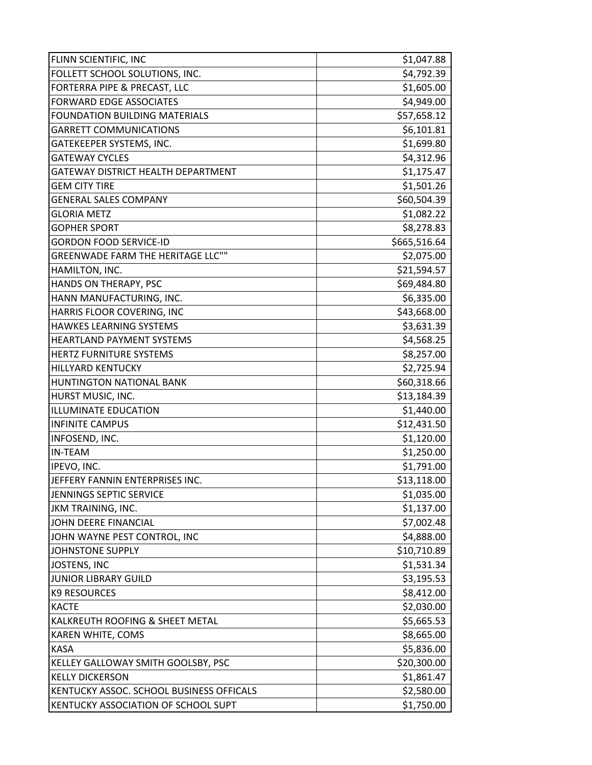| FLINN SCIENTIFIC, INC                    | \$1,047.88   |
|------------------------------------------|--------------|
| FOLLETT SCHOOL SOLUTIONS, INC.           | \$4,792.39   |
| FORTERRA PIPE & PRECAST, LLC             | \$1,605.00   |
| <b>FORWARD EDGE ASSOCIATES</b>           | \$4,949.00   |
| <b>FOUNDATION BUILDING MATERIALS</b>     | \$57,658.12  |
| <b>GARRETT COMMUNICATIONS</b>            | \$6,101.81   |
| GATEKEEPER SYSTEMS, INC.                 | \$1,699.80   |
| <b>GATEWAY CYCLES</b>                    | \$4,312.96   |
| GATEWAY DISTRICT HEALTH DEPARTMENT       | \$1,175.47   |
| <b>GEM CITY TIRE</b>                     | \$1,501.26   |
| <b>GENERAL SALES COMPANY</b>             | \$60,504.39  |
| <b>GLORIA METZ</b>                       | \$1,082.22   |
| <b>GOPHER SPORT</b>                      | \$8,278.83   |
| <b>GORDON FOOD SERVICE-ID</b>            | \$665,516.64 |
| <b>GREENWADE FARM THE HERITAGE LLC""</b> | \$2,075.00   |
| HAMILTON, INC.                           | \$21,594.57  |
| HANDS ON THERAPY, PSC                    | \$69,484.80  |
| HANN MANUFACTURING, INC.                 | \$6,335.00   |
| HARRIS FLOOR COVERING, INC               | \$43,668.00  |
| <b>HAWKES LEARNING SYSTEMS</b>           | \$3,631.39   |
| <b>HEARTLAND PAYMENT SYSTEMS</b>         | \$4,568.25   |
| HERTZ FURNITURE SYSTEMS                  | \$8,257.00   |
| <b>HILLYARD KENTUCKY</b>                 | \$2,725.94   |
| HUNTINGTON NATIONAL BANK                 | \$60,318.66  |
| HURST MUSIC, INC.                        | \$13,184.39  |
| <b>ILLUMINATE EDUCATION</b>              | \$1,440.00   |
| <b>INFINITE CAMPUS</b>                   | \$12,431.50  |
| INFOSEND, INC.                           | \$1,120.00   |
| <b>IN-TEAM</b>                           | \$1,250.00   |
| IPEVO, INC.                              | \$1,791.00   |
| JEFFERY FANNIN ENTERPRISES INC.          | \$13,118.00  |
| JENNINGS SEPTIC SERVICE                  | \$1,035.00   |
| JKM TRAINING, INC.                       | \$1,137.00   |
| JOHN DEERE FINANCIAL                     | \$7,002.48   |
| JOHN WAYNE PEST CONTROL, INC             | \$4,888.00   |
| <b>JOHNSTONE SUPPLY</b>                  | \$10,710.89  |
| <b>JOSTENS, INC</b>                      | \$1,531.34   |
| <b>JUNIOR LIBRARY GUILD</b>              | \$3,195.53   |
| <b>K9 RESOURCES</b>                      | \$8,412.00   |
| <b>KACTE</b>                             | \$2,030.00   |
| KALKREUTH ROOFING & SHEET METAL          | \$5,665.53   |
| KAREN WHITE, COMS                        | \$8,665.00   |
| <b>KASA</b>                              | \$5,836.00   |
| KELLEY GALLOWAY SMITH GOOLSBY, PSC       | \$20,300.00  |
| <b>KELLY DICKERSON</b>                   | \$1,861.47   |
| KENTUCKY ASSOC. SCHOOL BUSINESS OFFICALS | \$2,580.00   |
| KENTUCKY ASSOCIATION OF SCHOOL SUPT      | \$1,750.00   |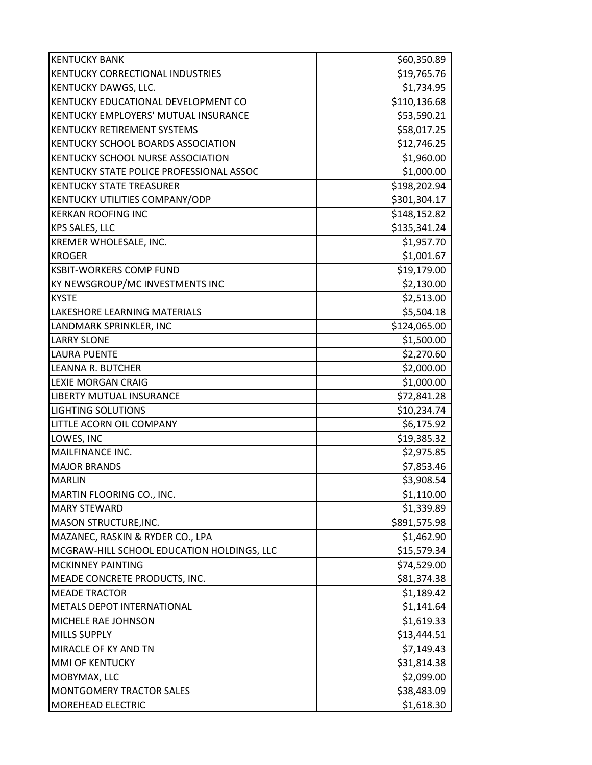| <b>KENTUCKY BANK</b>                        | \$60,350.89  |
|---------------------------------------------|--------------|
| <b>KENTUCKY CORRECTIONAL INDUSTRIES</b>     | \$19,765.76  |
| <b>KENTUCKY DAWGS, LLC.</b>                 | \$1,734.95   |
| KENTUCKY EDUCATIONAL DEVELOPMENT CO         | \$110,136.68 |
| <b>KENTUCKY EMPLOYERS' MUTUAL INSURANCE</b> | \$53,590.21  |
| IKENTUCKY RETIREMENT SYSTEMS                | \$58,017.25  |
| <b>KENTUCKY SCHOOL BOARDS ASSOCIATION</b>   | \$12,746.25  |
| IKENTUCKY SCHOOL NURSE ASSOCIATION          | \$1,960.00   |
| KENTUCKY STATE POLICE PROFESSIONAL ASSOC    | \$1,000.00   |
| KENTUCKY STATE TREASURER                    | \$198,202.94 |
| <b>KENTUCKY UTILITIES COMPANY/ODP</b>       | \$301,304.17 |
| <b>KERKAN ROOFING INC</b>                   | \$148,152.82 |
| <b>KPS SALES, LLC</b>                       | \$135,341.24 |
| <b>KREMER WHOLESALE, INC.</b>               | \$1,957.70   |
| <b>KROGER</b>                               | \$1,001.67   |
| IKSBIT-WORKERS COMP FUND                    | \$19,179.00  |
| KY NEWSGROUP/MC INVESTMENTS INC             | \$2,130.00   |
| <b>KYSTE</b>                                | \$2,513.00   |
| LAKESHORE LEARNING MATERIALS                | \$5,504.18   |
| LANDMARK SPRINKLER, INC                     | \$124,065.00 |
| <b>LARRY SLONE</b>                          | \$1,500.00   |
| LAURA PUENTE                                | \$2,270.60   |
| LEANNA R. BUTCHER                           | \$2,000.00   |
| <b>LEXIE MORGAN CRAIG</b>                   | \$1,000.00   |
| <b>LIBERTY MUTUAL INSURANCE</b>             | \$72,841.28  |
| <b>LIGHTING SOLUTIONS</b>                   | \$10,234.74  |
| LITTLE ACORN OIL COMPANY                    | \$6,175.92   |
| LOWES, INC                                  | \$19,385.32  |
| MAILFINANCE INC.                            | \$2,975.85   |
| <b>MAJOR BRANDS</b>                         | \$7,853.46   |
| IMARLIN                                     | \$3,908.54   |
| MARTIN FLOORING CO., INC.                   | \$1,110.00   |
| <b>MARY STEWARD</b>                         | \$1,339.89   |
| <b>MASON STRUCTURE, INC.</b>                | \$891,575.98 |
| MAZANEC, RASKIN & RYDER CO., LPA            | \$1,462.90   |
| MCGRAW-HILL SCHOOL EDUCATION HOLDINGS, LLC  | \$15,579.34  |
| <b>MCKINNEY PAINTING</b>                    | \$74,529.00  |
| MEADE CONCRETE PRODUCTS, INC.               | \$81,374.38  |
| <b>MEADE TRACTOR</b>                        | \$1,189.42   |
| METALS DEPOT INTERNATIONAL                  | \$1,141.64   |
| <b>MICHELE RAE JOHNSON</b>                  | \$1,619.33   |
| MILLS SUPPLY                                | \$13,444.51  |
| MIRACLE OF KY AND TN                        | \$7,149.43   |
| MMI OF KENTUCKY                             | \$31,814.38  |
| MOBYMAX, LLC                                | \$2,099.00   |
| <b>MONTGOMERY TRACTOR SALES</b>             | \$38,483.09  |
| <b>MOREHEAD ELECTRIC</b>                    | \$1,618.30   |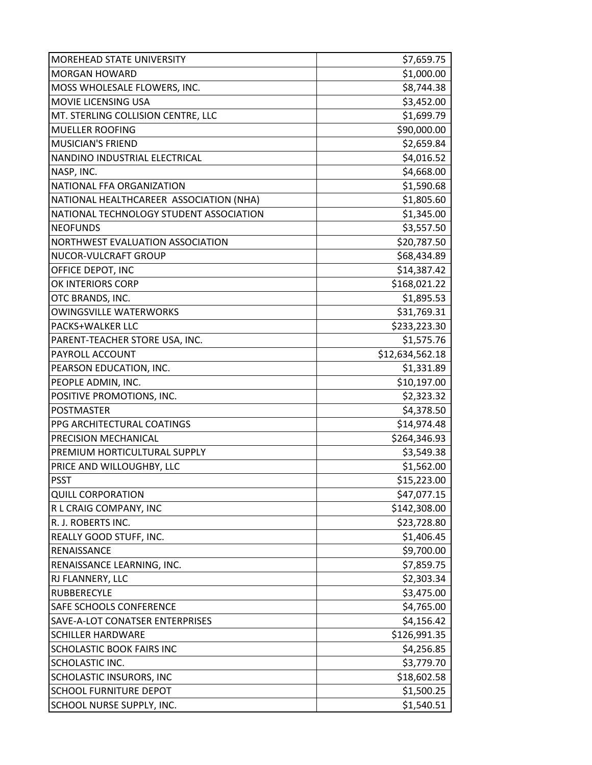| <b>MOREHEAD STATE UNIVERSITY</b>        | \$7,659.75      |
|-----------------------------------------|-----------------|
| <b>MORGAN HOWARD</b>                    | \$1,000.00      |
| MOSS WHOLESALE FLOWERS, INC.            | \$8,744.38      |
| MOVIE LICENSING USA                     | \$3,452.00      |
| MT. STERLING COLLISION CENTRE, LLC      | \$1,699.79      |
| <b>MUELLER ROOFING</b>                  | \$90,000.00     |
| <b>MUSICIAN'S FRIEND</b>                | \$2,659.84      |
| NANDINO INDUSTRIAL ELECTRICAL           | \$4,016.52      |
| NASP, INC.                              | \$4,668.00      |
| NATIONAL FFA ORGANIZATION               | \$1,590.68      |
| NATIONAL HEALTHCAREER ASSOCIATION (NHA) | \$1,805.60      |
| NATIONAL TECHNOLOGY STUDENT ASSOCIATION | \$1,345.00      |
| <b>NEOFUNDS</b>                         | \$3,557.50      |
| NORTHWEST EVALUATION ASSOCIATION        | \$20,787.50     |
| NUCOR-VULCRAFT GROUP                    | \$68,434.89     |
| OFFICE DEPOT, INC                       | \$14,387.42     |
| OK INTERIORS CORP                       | \$168,021.22    |
| OTC BRANDS, INC.                        | \$1,895.53      |
| <b>OWINGSVILLE WATERWORKS</b>           | \$31,769.31     |
| PACKS+WALKER LLC                        | \$233,223.30    |
| PARENT-TEACHER STORE USA, INC.          | \$1,575.76      |
| PAYROLL ACCOUNT                         | \$12,634,562.18 |
| PEARSON EDUCATION, INC.                 | \$1,331.89      |
| PEOPLE ADMIN, INC.                      | \$10,197.00     |
| POSITIVE PROMOTIONS, INC.               | \$2,323.32      |
| <b>POSTMASTER</b>                       | \$4,378.50      |
| PPG ARCHITECTURAL COATINGS              | \$14,974.48     |
| PRECISION MECHANICAL                    | \$264,346.93    |
| PREMIUM HORTICULTURAL SUPPLY            | \$3,549.38      |
| PRICE AND WILLOUGHBY, LLC               | \$1,562.00      |
| <b>PSST</b>                             | \$15,223.00     |
| <b>QUILL CORPORATION</b>                | \$47,077.15     |
| R L CRAIG COMPANY, INC                  | \$142,308.00    |
| R. J. ROBERTS INC.                      | \$23,728.80     |
| REALLY GOOD STUFF, INC.                 | \$1,406.45      |
| RENAISSANCE                             | \$9,700.00      |
| RENAISSANCE LEARNING, INC.              | \$7,859.75      |
| RJ FLANNERY, LLC                        | \$2,303.34      |
| <b>RUBBERECYLE</b>                      | \$3,475.00      |
| SAFE SCHOOLS CONFERENCE                 | \$4,765.00      |
| SAVE-A-LOT CONATSER ENTERPRISES         | \$4,156.42      |
| <b>SCHILLER HARDWARE</b>                | \$126,991.35    |
| SCHOLASTIC BOOK FAIRS INC               | \$4,256.85      |
| SCHOLASTIC INC.                         | \$3,779.70      |
| SCHOLASTIC INSURORS, INC                | \$18,602.58     |
| SCHOOL FURNITURE DEPOT                  | \$1,500.25      |
| SCHOOL NURSE SUPPLY, INC.               | \$1,540.51      |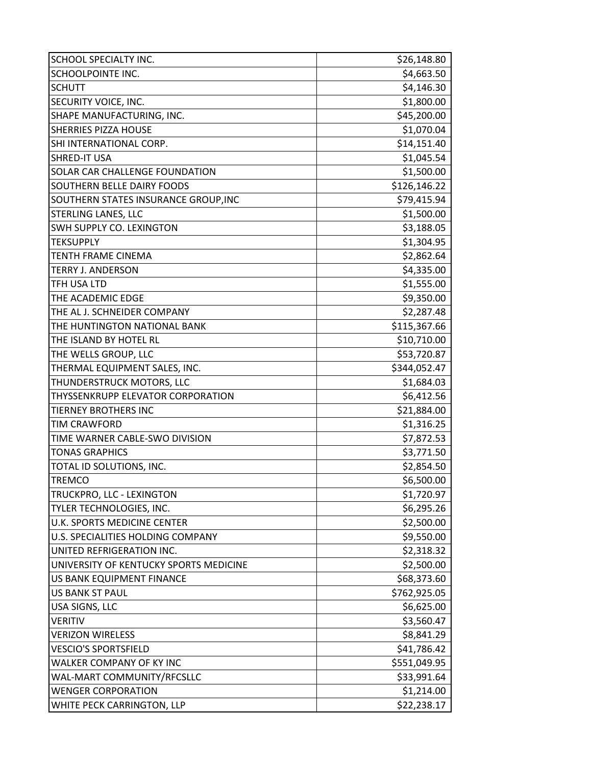| <b>SCHOOL SPECIALTY INC.</b>           | \$26,148.80  |
|----------------------------------------|--------------|
| <b>SCHOOLPOINTE INC.</b>               | \$4,663.50   |
| <b>SCHUTT</b>                          | \$4,146.30   |
| SECURITY VOICE, INC.                   | \$1,800.00   |
| SHAPE MANUFACTURING, INC.              | \$45,200.00  |
| <b>SHERRIES PIZZA HOUSE</b>            | \$1,070.04   |
| SHI INTERNATIONAL CORP.                | \$14,151.40  |
| <b>SHRED-IT USA</b>                    | \$1,045.54   |
| <b>SOLAR CAR CHALLENGE FOUNDATION</b>  | \$1,500.00   |
| <b>SOUTHERN BELLE DAIRY FOODS</b>      | \$126,146.22 |
| SOUTHERN STATES INSURANCE GROUP, INC   | \$79,415.94  |
| <b>STERLING LANES, LLC</b>             | \$1,500.00   |
| SWH SUPPLY CO. LEXINGTON               | \$3,188.05   |
| <b>TEKSUPPLY</b>                       | \$1,304.95   |
| <b>TENTH FRAME CINEMA</b>              | \$2,862.64   |
| <b>TERRY J. ANDERSON</b>               | \$4,335.00   |
| <b>TFH USA LTD</b>                     | \$1,555.00   |
| THE ACADEMIC EDGE                      | \$9,350.00   |
| THE AL J. SCHNEIDER COMPANY            | \$2,287.48   |
| THE HUNTINGTON NATIONAL BANK           | \$115,367.66 |
| THE ISLAND BY HOTEL RL                 | \$10,710.00  |
| THE WELLS GROUP, LLC                   | \$53,720.87  |
| THERMAL EQUIPMENT SALES, INC.          | \$344,052.47 |
| THUNDERSTRUCK MOTORS, LLC              | \$1,684.03   |
| THYSSENKRUPP ELEVATOR CORPORATION      | \$6,412.56   |
| TIERNEY BROTHERS INC                   | \$21,884.00  |
| <b>TIM CRAWFORD</b>                    | \$1,316.25   |
| TIME WARNER CABLE-SWO DIVISION         | \$7,872.53   |
| <b>TONAS GRAPHICS</b>                  | \$3,771.50   |
| TOTAL ID SOLUTIONS, INC.               | \$2,854.50   |
| <b>TREMCO</b>                          | \$6,500.00   |
| TRUCKPRO, LLC - LEXINGTON              | \$1,720.97   |
| TYLER TECHNOLOGIES, INC.               | \$6,295.26   |
| U.K. SPORTS MEDICINE CENTER            | \$2,500.00   |
| U.S. SPECIALITIES HOLDING COMPANY      | \$9,550.00   |
| UNITED REFRIGERATION INC.              | \$2,318.32   |
| UNIVERSITY OF KENTUCKY SPORTS MEDICINE | \$2,500.00   |
| US BANK EQUIPMENT FINANCE              | \$68,373.60  |
| <b>US BANK ST PAUL</b>                 | \$762,925.05 |
| USA SIGNS, LLC                         | \$6,625.00   |
| <b>VERITIV</b>                         | \$3,560.47   |
| <b>VERIZON WIRELESS</b>                | \$8,841.29   |
| <b>VESCIO'S SPORTSFIELD</b>            | \$41,786.42  |
| WALKER COMPANY OF KY INC               | \$551,049.95 |
| WAL-MART COMMUNITY/RFCSLLC             | \$33,991.64  |
| <b>WENGER CORPORATION</b>              | \$1,214.00   |
| WHITE PECK CARRINGTON, LLP             | \$22,238.17  |